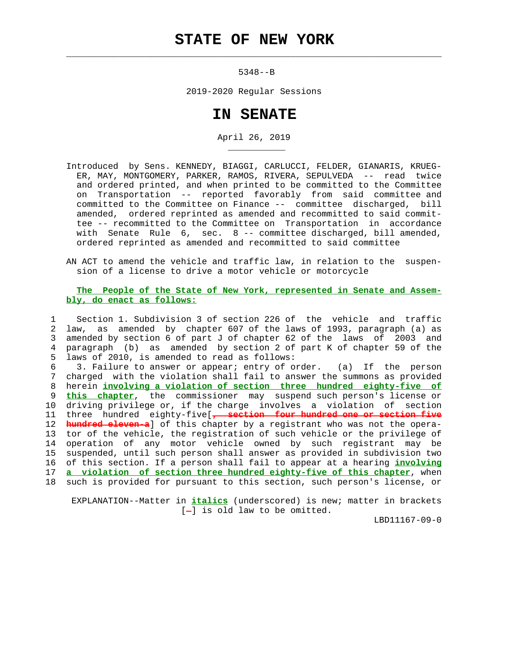## **STATE OF NEW YORK**

 $\mathcal{L}_\text{max} = \frac{1}{2} \sum_{i=1}^{n} \frac{1}{2} \sum_{i=1}^{n} \frac{1}{2} \sum_{i=1}^{n} \frac{1}{2} \sum_{i=1}^{n} \frac{1}{2} \sum_{i=1}^{n} \frac{1}{2} \sum_{i=1}^{n} \frac{1}{2} \sum_{i=1}^{n} \frac{1}{2} \sum_{i=1}^{n} \frac{1}{2} \sum_{i=1}^{n} \frac{1}{2} \sum_{i=1}^{n} \frac{1}{2} \sum_{i=1}^{n} \frac{1}{2} \sum_{i=1}^{n} \frac{1$ 

\_\_\_\_\_\_\_\_\_\_\_

5348--B

2019-2020 Regular Sessions

## **IN SENATE**

April 26, 2019

- Introduced by Sens. KENNEDY, BIAGGI, CARLUCCI, FELDER, GIANARIS, KRUEG- ER, MAY, MONTGOMERY, PARKER, RAMOS, RIVERA, SEPULVEDA -- read twice and ordered printed, and when printed to be committed to the Committee on Transportation -- reported favorably from said committee and committed to the Committee on Finance -- committee discharged, bill amended, ordered reprinted as amended and recommitted to said commit tee -- recommitted to the Committee on Transportation in accordance with Senate Rule 6, sec. 8 -- committee discharged, bill amended, ordered reprinted as amended and recommitted to said committee
- AN ACT to amend the vehicle and traffic law, in relation to the suspen sion of a license to drive a motor vehicle or motorcycle

## **The People of the State of New York, represented in Senate and Assem bly, do enact as follows:**

 1 Section 1. Subdivision 3 of section 226 of the vehicle and traffic 2 law, as amended by chapter 607 of the laws of 1993, paragraph (a) as 3 amended by section 6 of part J of chapter 62 of the laws of 2003 and 4 paragraph (b) as amended by section 2 of part K of chapter 59 of the 5 laws of 2010, is amended to read as follows: 6 3. Failure to answer or appear; entry of order. (a) If the person 7 charged with the violation shall fail to answer the summons as provided 8 herein **involving a violation of section three hundred eighty-five of** 9 **this chapter**, the commissioner may suspend such person's license or 10 driving privilege or, if the charge involves a violation of section 11 three hundred eighty-five[**, section four hundred one or section five** 12 **hundred eleven-a**] of this chapter by a registrant who was not the opera- 13 tor of the vehicle, the registration of such vehicle or the privilege of 14 operation of any motor vehicle owned by such registrant may be 15 suspended, until such person shall answer as provided in subdivision two 16 of this section. If a person shall fail to appear at a hearing **involving** 17 **a violation of section three hundred eighty-five of this chapter**, when 18 such is provided for pursuant to this section, such person's license, or

 EXPLANATION--Matter in **italics** (underscored) is new; matter in brackets  $[-]$  is old law to be omitted.

LBD11167-09-0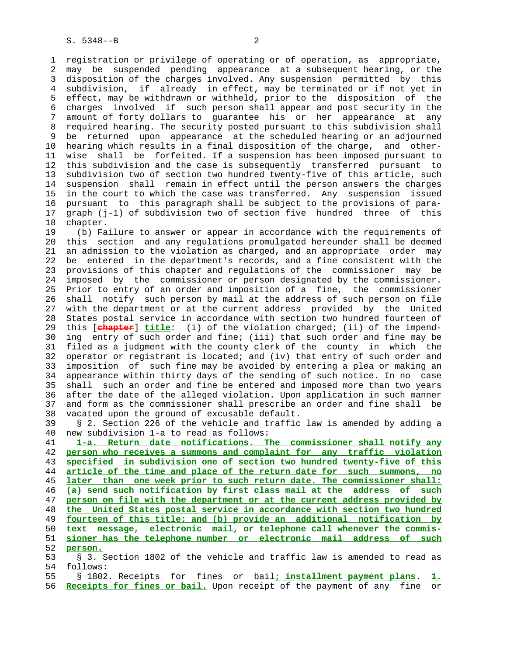1 registration or privilege of operating or of operation, as appropriate, 2 may be suspended pending appearance at a subsequent hearing, or the 3 disposition of the charges involved. Any suspension permitted by this 4 subdivision, if already in effect, may be terminated or if not yet in 5 effect, may be withdrawn or withheld, prior to the disposition of the 6 charges involved if such person shall appear and post security in the 7 amount of forty dollars to guarantee his or her appearance at any 8 required hearing. The security posted pursuant to this subdivision shall 9 be returned upon appearance at the scheduled hearing or an adjourned 10 hearing which results in a final disposition of the charge, and other- 11 wise shall be forfeited. If a suspension has been imposed pursuant to 12 this subdivision and the case is subsequently transferred pursuant to 13 subdivision two of section two hundred twenty-five of this article, such 14 suspension shall remain in effect until the person answers the charges 15 in the court to which the case was transferred. Any suspension issued 16 pursuant to this paragraph shall be subject to the provisions of para- 17 graph (j-1) of subdivision two of section five hundred three of this 18 chapter.

 19 (b) Failure to answer or appear in accordance with the requirements of 20 this section and any regulations promulgated hereunder shall be deemed 21 an admission to the violation as charged, and an appropriate order may 22 be entered in the department's records, and a fine consistent with the 23 provisions of this chapter and regulations of the commissioner may be 24 imposed by the commissioner or person designated by the commissioner. 25 Prior to entry of an order and imposition of a fine, the commissioner 26 shall notify such person by mail at the address of such person on file 27 with the department or at the current address provided by the United 28 States postal service in accordance with section two hundred fourteen of 29 this [**chapter**] **title**: (i) of the violation charged; (ii) of the impend- 30 ing entry of such order and fine; (iii) that such order and fine may be 31 filed as a judgment with the county clerk of the county in which the 32 operator or registrant is located; and (iv) that entry of such order and 33 imposition of such fine may be avoided by entering a plea or making an 34 appearance within thirty days of the sending of such notice. In no case 35 shall such an order and fine be entered and imposed more than two years 36 after the date of the alleged violation. Upon application in such manner 37 and form as the commissioner shall prescribe an order and fine shall be 38 vacated upon the ground of excusable default.

 39 § 2. Section 226 of the vehicle and traffic law is amended by adding a 40 new subdivision 1-a to read as follows:

**1-a. Return date notifications. The commissioner shall notify any person who receives a summons and complaint for any traffic violation specified in subdivision one of section two hundred twenty-five of this article of the time and place of the return date for such summons, no later than one week prior to such return date. The commissioner shall: (a) send such notification by first class mail at the address of such person on file with the department or at the current address provided by the United States postal service in accordance with section two hundred fourteen of this title; and (b) provide an additional notification by text message, electronic mail, or telephone call whenever the commis- sioner has the telephone number or electronic mail address of such** 52 **person.** 53 § 3. Section 1802 of the vehicle and traffic law is amended to read as

54 follows:

 55 § 1802. Receipts for fines or bail**; installment payment plans**. **1.** 56 **Receipts for fines or bail.** Upon receipt of the payment of any fine or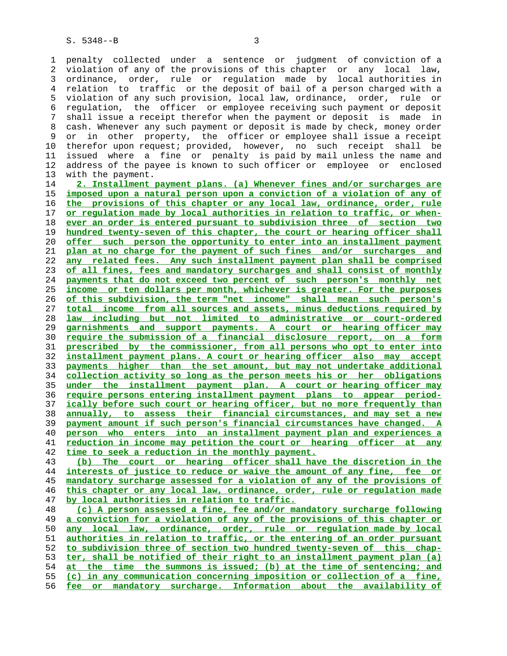1 penalty collected under a sentence or judgment of conviction of a 2 violation of any of the provisions of this chapter or any local law, 3 ordinance, order, rule or regulation made by local authorities in 4 relation to traffic or the deposit of bail of a person charged with a 5 violation of any such provision, local law, ordinance, order, rule or 6 regulation, the officer or employee receiving such payment or deposit 7 shall issue a receipt therefor when the payment or deposit is made in 8 cash. Whenever any such payment or deposit is made by check, money order 9 or in other property, the officer or employee shall issue a receipt 10 therefor upon request; provided, however, no such receipt shall be 11 issued where a fine or penalty is paid by mail unless the name and 12 address of the payee is known to such officer or employee or enclosed 13 with the payment.

**2. Installment payment plans. (a) Whenever fines and/or surcharges are imposed upon a natural person upon a conviction of a violation of any of the provisions of this chapter or any local law, ordinance, order, rule or regulation made by local authorities in relation to traffic, or when- ever an order is entered pursuant to subdivision three of section two hundred twenty-seven of this chapter, the court or hearing officer shall offer such person the opportunity to enter into an installment payment plan at no charge for the payment of such fines and/or surcharges and any related fees. Any such installment payment plan shall be comprised of all fines, fees and mandatory surcharges and shall consist of monthly payments that do not exceed two percent of such person's monthly net income or ten dollars per month, whichever is greater. For the purposes of this subdivision, the term "net income" shall mean such person's total income from all sources and assets, minus deductions required by law including but not limited to administrative or court-ordered garnishments and support payments. A court or hearing officer may require the submission of a financial disclosure report, on a form prescribed by the commissioner, from all persons who opt to enter into installment payment plans. A court or hearing officer also may accept payments higher than the set amount, but may not undertake additional collection activity so long as the person meets his or her obligations under the installment payment plan. A court or hearing officer may require persons entering installment payment plans to appear period- ically before such court or hearing officer, but no more frequently than annually, to assess their financial circumstances, and may set a new payment amount if such person's financial circumstances have changed. A person who enters into an installment payment plan and experiences a reduction in income may petition the court or hearing officer at any time to seek a reduction in the monthly payment.**

**(b) The court or hearing officer shall have the discretion in the interests of justice to reduce or waive the amount of any fine, fee or mandatory surcharge assessed for a violation of any of the provisions of this chapter or any local law, ordinance, order, rule or regulation made by local authorities in relation to traffic.**

**(c) A person assessed a fine, fee and/or mandatory surcharge following a conviction for a violation of any of the provisions of this chapter or any local law, ordinance, order, rule or regulation made by local authorities in relation to traffic, or the entering of an order pursuant to subdivision three of section two hundred twenty-seven of this chap- ter, shall be notified of their right to an installment payment plan (a) at the time the summons is issued; (b) at the time of sentencing; and (c) in any communication concerning imposition or collection of a fine, fee or mandatory surcharge. Information about the availability of**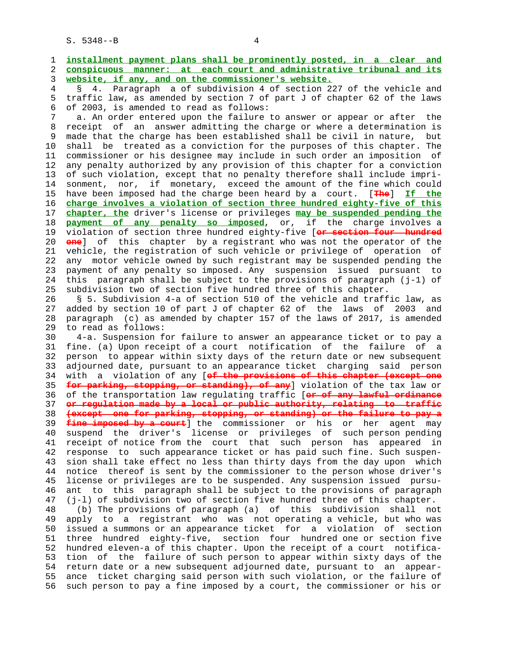S. 5348--B 4

 1 **installment payment plans shall be prominently posted, in a clear and** 2 **conspicuous manner: at each court and administrative tribunal and its** 3 **website, if any, and on the commissioner's website.**

 4 § 4. Paragraph a of subdivision 4 of section 227 of the vehicle and 5 traffic law, as amended by section 7 of part J of chapter 62 of the laws 6 of 2003, is amended to read as follows:

 7 a. An order entered upon the failure to answer or appear or after the 8 receipt of an answer admitting the charge or where a determination is<br>9 made that the charge has been established shall be civil in nature, but made that the charge has been established shall be civil in nature, but 10 shall be treated as a conviction for the purposes of this chapter. The 11 commissioner or his designee may include in such order an imposition of 12 any penalty authorized by any provision of this chapter for a conviction 13 of such violation, except that no penalty therefore shall include impri- 14 sonment, nor, if monetary, exceed the amount of the fine which could 15 have been imposed had the charge been heard by a court. [**The**] **If the** 16 **charge involves a violation of section three hundred eighty-five of this** 17 **chapter, the** driver's license or privileges **may be suspended pending the** 18 **payment of any penalty so imposed**, or, if the charge involves a 19 violation of section three hundred eighty-five [**or section four hundred** 20 **one**] of this chapter by a registrant who was not the operator of the 21 vehicle, the registration of such vehicle or privilege of operation of 22 any motor vehicle owned by such registrant may be suspended pending the 23 payment of any penalty so imposed. Any suspension issued pursuant to 24 this paragraph shall be subject to the provisions of paragraph (j-1) of 25 subdivision two of section five hundred three of this chapter.

 26 § 5. Subdivision 4-a of section 510 of the vehicle and traffic law, as 27 added by section 10 of part J of chapter 62 of the laws of 2003 and 28 paragraph (c) as amended by chapter 157 of the laws of 2017, is amended 29 to read as follows:

 30 4-a. Suspension for failure to answer an appearance ticket or to pay a 31 fine. (a) Upon receipt of a court notification of the failure of a 32 person to appear within sixty days of the return date or new subsequent 33 adjourned date, pursuant to an appearance ticket charging said person 34 with a violation of any [**of the provisions of this chapter (except one** 35 **for parking, stopping, or standing), of any**] violation of the tax law or 36 of the transportation law regulating traffic [**or of any lawful ordinance** 37 **or regulation made by a local or public authority, relating to traffic** 38 **(except one for parking, stopping, or standing) or the failure to pay a**

 39 **fine imposed by a court**] the commissioner or his or her agent may 40 suspend the driver's license or privileges of such person pending 41 receipt of notice from the court that such person has appeared in 42 response to such appearance ticket or has paid such fine. Such suspen- 43 sion shall take effect no less than thirty days from the day upon which 44 notice thereof is sent by the commissioner to the person whose driver's 45 license or privileges are to be suspended. Any suspension issued pursu- 46 ant to this paragraph shall be subject to the provisions of paragraph 47 (j-l) of subdivision two of section five hundred three of this chapter.

 48 (b) The provisions of paragraph (a) of this subdivision shall not 49 apply to a registrant who was not operating a vehicle, but who was 50 issued a summons or an appearance ticket for a violation of section 51 three hundred eighty-five, section four hundred one or section five 52 hundred eleven-a of this chapter. Upon the receipt of a court notifica- 53 tion of the failure of such person to appear within sixty days of the 54 return date or a new subsequent adjourned date, pursuant to an appear- 55 ance ticket charging said person with such violation, or the failure of 56 such person to pay a fine imposed by a court, the commissioner or his or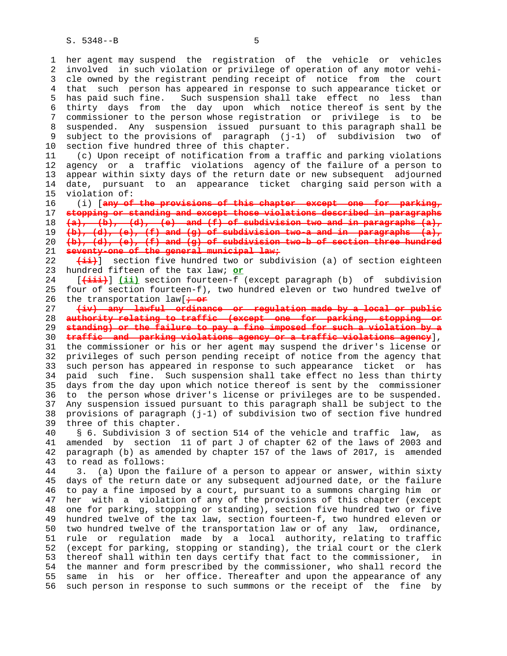1 her agent may suspend the registration of the vehicle or vehicles 2 involved in such violation or privilege of operation of any motor vehi- 3 cle owned by the registrant pending receipt of notice from the court 4 that such person has appeared in response to such appearance ticket or 5 has paid such fine. Such suspension shall take effect no less than 6 thirty days from the day upon which notice thereof is sent by the 7 commissioner to the person whose registration or privilege is to be 8 suspended. Any suspension issued pursuant to this paragraph shall be<br>9 subject to the provisions of paragraph (j-1) of subdivision two of subject to the provisions of paragraph (j-1) of subdivision two of 10 section five hundred three of this chapter.

 11 (c) Upon receipt of notification from a traffic and parking violations 12 agency or a traffic violations agency of the failure of a person to 13 appear within sixty days of the return date or new subsequent adjourned 14 date, pursuant to an appearance ticket charging said person with a 15 violation of:

 16 (i) [**any of the provisions of this chapter except one for parking, stopping or standing and except those violations described in paragraphs (a), (b), (d), (e) and (f) of subdivision two and in paragraphs (a), (b), (d), (e), (f) and (g) of subdivision two-a and in paragraphs (a), (b), (d), (e), (f) and (g) of subdivision two-b of section three hundred seventy-one of the general municipal law;**

22 **(ii)** section five hundred two or subdivision (a) of section eighteen 23 hundred fifteen of the tax law; **or**

 24 [**(iii)**] **(ii)** section fourteen-f (except paragraph (b) of subdivision 25 four of section fourteen-f), two hundred eleven or two hundred twelve of 26 the transportation law[**; or**

 27 **(iv) any lawful ordinance or regulation made by a local or public** 28 **authority relating to traffic (except one for parking, stopping or** 29 **standing) or the failure to pay a fine imposed for such a violation by a** 30 **traffic and parking violations agency or a traffic violations agency**], 31 the commissioner or his or her agent may suspend the driver's license or 32 privileges of such person pending receipt of notice from the agency that 33 such person has appeared in response to such appearance ticket or has 34 paid such fine. Such suspension shall take effect no less than thirty 35 days from the day upon which notice thereof is sent by the commissioner 36 to the person whose driver's license or privileges are to be suspended. 37 Any suspension issued pursuant to this paragraph shall be subject to the 38 provisions of paragraph (j-1) of subdivision two of section five hundred 39 three of this chapter.

 40 § 6. Subdivision 3 of section 514 of the vehicle and traffic law, as 41 amended by section 11 of part J of chapter 62 of the laws of 2003 and 42 paragraph (b) as amended by chapter 157 of the laws of 2017, is amended 43 to read as follows:

 44 3. (a) Upon the failure of a person to appear or answer, within sixty 45 days of the return date or any subsequent adjourned date, or the failure 46 to pay a fine imposed by a court, pursuant to a summons charging him or 47 her with a violation of any of the provisions of this chapter (except 48 one for parking, stopping or standing), section five hundred two or five 49 hundred twelve of the tax law, section fourteen-f, two hundred eleven or 50 two hundred twelve of the transportation law or of any law, ordinance, 51 rule or regulation made by a local authority, relating to traffic 52 (except for parking, stopping or standing), the trial court or the clerk 53 thereof shall within ten days certify that fact to the commissioner, in 54 the manner and form prescribed by the commissioner, who shall record the 55 same in his or her office. Thereafter and upon the appearance of any 56 such person in response to such summons or the receipt of the fine by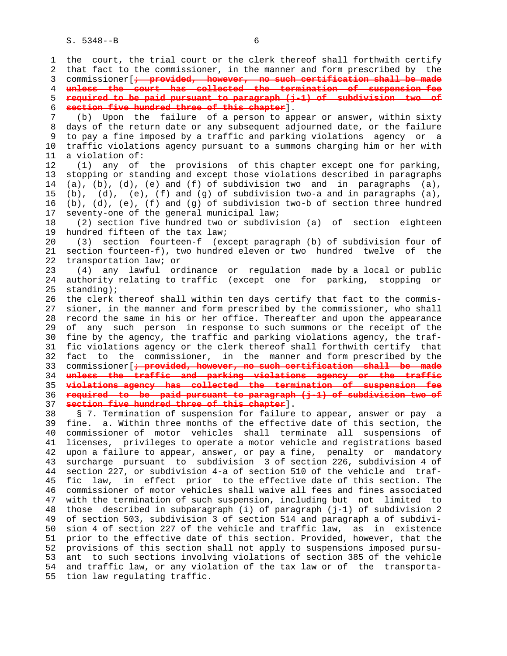1 the court, the trial court or the clerk thereof shall forthwith certify 2 that fact to the commissioner, in the manner and form prescribed by the 3 commissioner[**; provided, however, no such certification shall be made** 4 **unless the court has collected the termination of suspension fee** 5 **required to be paid pursuant to paragraph (j-1) of subdivision two of** 6 **section five hundred three of this chapter**]. 7 (b) Upon the failure of a person to appear or answer, within sixty 8 days of the return date or any subsequent adjourned date, or the failure 9 to pay a fine imposed by a traffic and parking violations agency or a 10 traffic violations agency pursuant to a summons charging him or her with 11 a violation of: 12 (1) any of the provisions of this chapter except one for parking, 13 stopping or standing and except those violations described in paragraphs 14 (a), (b), (d), (e) and (f) of subdivision two and in paragraphs (a), 15 (b), (d), (e), (f) and (g) of subdivision two-a and in paragraphs (a), 16 (b), (d), (e), (f) and (g) of subdivision two-b of section three hundred 17 seventy-one of the general municipal law; 18 (2) section five hundred two or subdivision (a) of section eighteen 19 hundred fifteen of the tax law; 20 (3) section fourteen-f (except paragraph (b) of subdivision four of 21 section fourteen-f), two hundred eleven or two hundred twelve of the 22 transportation law; or 23 (4) any lawful ordinance or regulation made by a local or public 24 authority relating to traffic (except one for parking, stopping or 25 standing); 26 the clerk thereof shall within ten days certify that fact to the commis- 27 sioner, in the manner and form prescribed by the commissioner, who shall 28 record the same in his or her office. Thereafter and upon the appearance 29 of any such person in response to such summons or the receipt of the 30 fine by the agency, the traffic and parking violations agency, the traf- 31 fic violations agency or the clerk thereof shall forthwith certify that 32 fact to the commissioner, in the manner and form prescribed by the 33 commissioner[**; provided, however, no such certification shall be made** 34 **unless the traffic and parking violations agency or the traffic** 35 **violations agency has collected the termination of suspension fee** 36 **required to be paid pursuant to paragraph (j-1) of subdivision two of** 37 **section five hundred three of this chapter**]. 38 § 7. Termination of suspension for failure to appear, answer or pay a 39 fine. a. Within three months of the effective date of this section, the 40 commissioner of motor vehicles shall terminate all suspensions of 41 licenses, privileges to operate a motor vehicle and registrations based 42 upon a failure to appear, answer, or pay a fine, penalty or mandatory 43 surcharge pursuant to subdivision 3 of section 226, subdivision 4 of

 47 with the termination of such suspension, including but not limited to 48 those described in subparagraph (i) of paragraph (j-1) of subdivision 2 49 of section 503, subdivision 3 of section 514 and paragraph a of subdivi- 50 sion 4 of section 227 of the vehicle and traffic law, as in existence 51 prior to the effective date of this section. Provided, however, that the 52 provisions of this section shall not apply to suspensions imposed pursu- 53 ant to such sections involving violations of section 385 of the vehicle 54 and traffic law, or any violation of the tax law or of the transporta- 55 tion law regulating traffic.

 44 section 227, or subdivision 4-a of section 510 of the vehicle and traf- 45 fic law, in effect prior to the effective date of this section. The 46 commissioner of motor vehicles shall waive all fees and fines associated